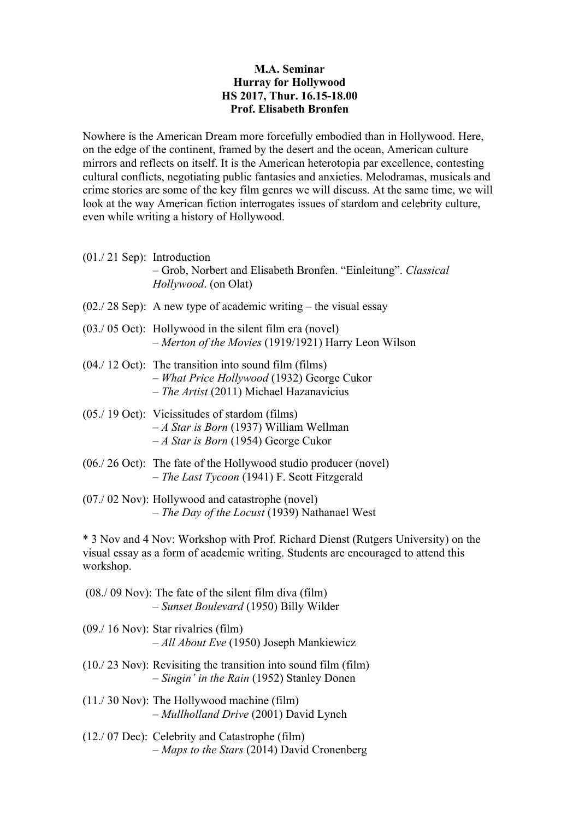## **M.A. Seminar Hurray for Hollywood HS 2017, Thur. 16.15-18.00 Prof. Elisabeth Bronfen**

Nowhere is the American Dream more forcefully embodied than in Hollywood. Here, on the edge of the continent, framed by the desert and the ocean, American culture mirrors and reflects on itself. It is the American heterotopia par excellence, contesting cultural conflicts, negotiating public fantasies and anxieties. Melodramas, musicals and crime stories are some of the key film genres we will discuss. At the same time, we will look at the way American fiction interrogates issues of stardom and celebrity culture, even while writing a history of Hollywood.

- (01./ 21 Sep): Introduction – Grob, Norbert and Elisabeth Bronfen. "Einleitung". *Classical Hollywood*. (on Olat)
- $(02.728$  Sep): A new type of academic writing the visual essay
- (03./ 05 Oct): Hollywood in the silent film era (novel) – *Merton of the Movies* (1919/1921) Harry Leon Wilson
- (04./ 12 Oct): The transition into sound film (films) – *What Price Hollywood* (1932) George Cukor – *The Artist* (2011) Michael Hazanavicius
- (05./ 19 Oct): Vicissitudes of stardom (films) – *A Star is Born* (1937) William Wellman – *A Star is Born* (1954) George Cukor
- (06./ 26 Oct): The fate of the Hollywood studio producer (novel) – *The Last Tycoon* (1941) F. Scott Fitzgerald
- (07./ 02 Nov): Hollywood and catastrophe (novel) – *The Day of the Locust* (1939) Nathanael West

\* 3 Nov and 4 Nov: Workshop with Prof. Richard Dienst (Rutgers University) on the visual essay as a form of academic writing. Students are encouraged to attend this workshop.

- (08./ 09 Nov): The fate of the silent film diva (film) – *Sunset Boulevard* (1950) Billy Wilder
- (09./ 16 Nov): Star rivalries (film) – *All About Eve* (1950) Joseph Mankiewicz
- (10./ 23 Nov): Revisiting the transition into sound film (film) – *Singin' in the Rain* (1952) Stanley Donen
- (11./ 30 Nov): The Hollywood machine (film) – *Mullholland Drive* (2001) David Lynch
- (12./ 07 Dec): Celebrity and Catastrophe (film) – *Maps to the Stars* (2014) David Cronenberg